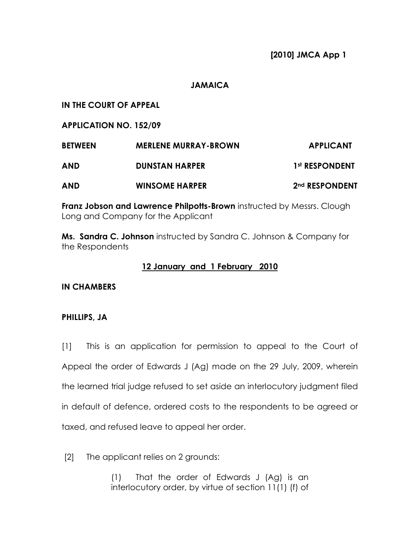# JAMAICA

IN THE COURT OF APPEAL

APPLICATION NO. 152/09

| <b>BETWEEN</b><br><b>AND</b> | <b>MERLENE MURRAY-BROWN</b><br><b>DUNSTAN HARPER</b> | <b>APPLICANT</b><br>1st RESPONDENT |
|------------------------------|------------------------------------------------------|------------------------------------|
|                              |                                                      |                                    |

**Franz Jobson and Lawrence Philpotts-Brown** instructed by Messrs. Clough Long and Company for the Applicant

Ms. Sandra C. Johnson instructed by Sandra C. Johnson & Company for the Respondents

# 12 January and 1 February 2010

IN CHAMBERS

# PHILLIPS, JA

[1] This is an application for permission to appeal to the Court of Appeal the order of Edwards J (Ag) made on the 29 July, 2009, wherein the learned trial judge refused to set aside an interlocutory judgment filed in default of defence, ordered costs to the respondents to be agreed or taxed, and refused leave to appeal her order.

[2] The applicant relies on 2 grounds:

(1) That the order of Edwards J (Ag) is an interlocutory order, by virtue of section 11(1) (f) of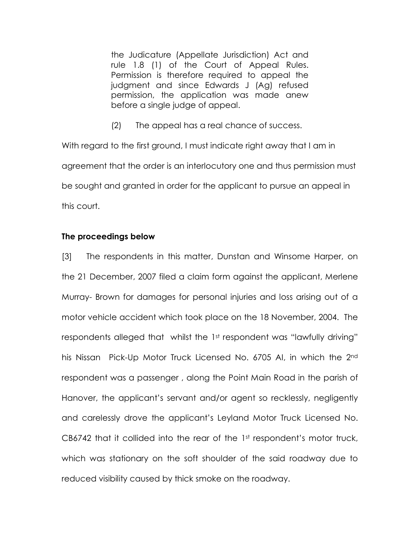the Judicature (Appellate Jurisdiction) Act and rule 1.8 (1) of the Court of Appeal Rules. Permission is therefore required to appeal the judgment and since Edwards J (Ag) refused permission, the application was made anew before a single judge of appeal.

(2) The appeal has a real chance of success.

With regard to the first ground, I must indicate right away that I am in agreement that the order is an interlocutory one and thus permission must be sought and granted in order for the applicant to pursue an appeal in this court.

### The proceedings below

[3] The respondents in this matter, Dunstan and Winsome Harper, on the 21 December, 2007 filed a claim form against the applicant, Merlene Murray- Brown for damages for personal injuries and loss arising out of a motor vehicle accident which took place on the 18 November, 2004. The respondents alleged that whilst the 1st respondent was "lawfully driving" his Nissan Pick-Up Motor Truck Licensed No. 6705 AI, in which the 2nd respondent was a passenger , along the Point Main Road in the parish of Hanover, the applicant's servant and/or agent so recklessly, negligently and carelessly drove the applicant's Leyland Motor Truck Licensed No. CB6742 that it collided into the rear of the  $1<sup>st</sup>$  respondent's motor truck, which was stationary on the soft shoulder of the said roadway due to reduced visibility caused by thick smoke on the roadway.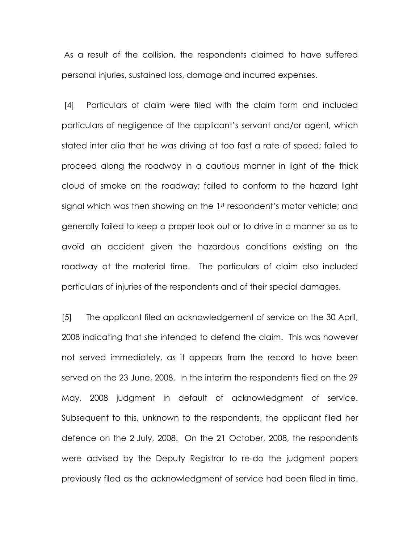As a result of the collision, the respondents claimed to have suffered personal injuries, sustained loss, damage and incurred expenses.

 [4] Particulars of claim were filed with the claim form and included particulars of negligence of the applicant's servant and/or agent, which stated inter alia that he was driving at too fast a rate of speed; failed to proceed along the roadway in a cautious manner in light of the thick cloud of smoke on the roadway; failed to conform to the hazard light signal which was then showing on the 1st respondent's motor vehicle; and generally failed to keep a proper look out or to drive in a manner so as to avoid an accident given the hazardous conditions existing on the roadway at the material time. The particulars of claim also included particulars of injuries of the respondents and of their special damages.

[5] The applicant filed an acknowledgement of service on the 30 April, 2008 indicating that she intended to defend the claim. This was however not served immediately, as it appears from the record to have been served on the 23 June, 2008. In the interim the respondents filed on the 29 May, 2008 judgment in default of acknowledgment of service. Subsequent to this, unknown to the respondents, the applicant filed her defence on the 2 July, 2008. On the 21 October, 2008, the respondents were advised by the Deputy Registrar to re-do the judgment papers previously filed as the acknowledgment of service had been filed in time.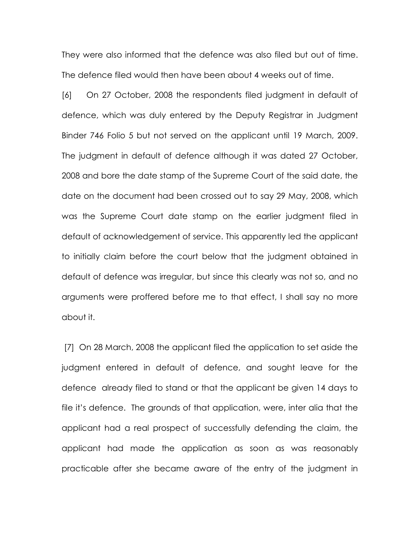They were also informed that the defence was also filed but out of time. The defence filed would then have been about 4 weeks out of time.

[6] On 27 October, 2008 the respondents filed judgment in default of defence, which was duly entered by the Deputy Registrar in Judgment Binder 746 Folio 5 but not served on the applicant until 19 March, 2009. The judgment in default of defence although it was dated 27 October, 2008 and bore the date stamp of the Supreme Court of the said date, the date on the document had been crossed out to say 29 May, 2008, which was the Supreme Court date stamp on the earlier judgment filed in default of acknowledgement of service. This apparently led the applicant to initially claim before the court below that the judgment obtained in default of defence was irregular, but since this clearly was not so, and no arguments were proffered before me to that effect, I shall say no more about it.

[7] On 28 March, 2008 the applicant filed the application to set aside the judgment entered in default of defence, and sought leave for the defence already filed to stand or that the applicant be given 14 days to file it's defence. The grounds of that application, were, inter alia that the applicant had a real prospect of successfully defending the claim, the applicant had made the application as soon as was reasonably practicable after she became aware of the entry of the judgment in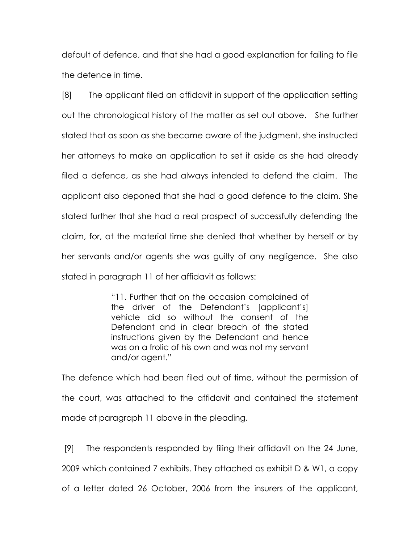default of defence, and that she had a good explanation for failing to file the defence in time.

[8] The applicant filed an affidavit in support of the application setting out the chronological history of the matter as set out above. She further stated that as soon as she became aware of the judgment, she instructed her attorneys to make an application to set it aside as she had already filed a defence, as she had always intended to defend the claim. The applicant also deponed that she had a good defence to the claim. She stated further that she had a real prospect of successfully defending the claim, for, at the material time she denied that whether by herself or by her servants and/or agents she was guilty of any negligence. She also stated in paragraph 11 of her affidavit as follows:

> "11. Further that on the occasion complained of the driver of the Defendant's [applicant's] vehicle did so without the consent of the Defendant and in clear breach of the stated instructions given by the Defendant and hence was on a frolic of his own and was not my servant and/or agent."

The defence which had been filed out of time, without the permission of the court, was attached to the affidavit and contained the statement made at paragraph 11 above in the pleading.

 [9] The respondents responded by filing their affidavit on the 24 June, 2009 which contained 7 exhibits. They attached as exhibit D & W1, a copy of a letter dated 26 October, 2006 from the insurers of the applicant,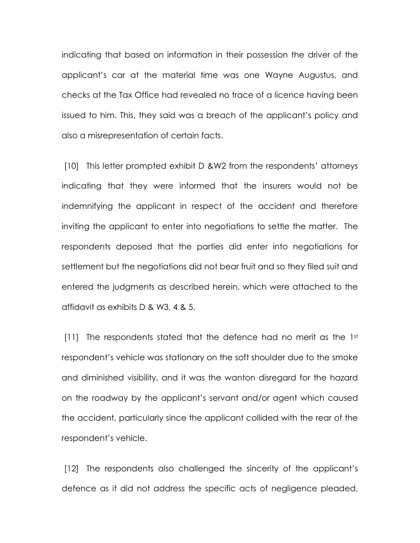indicating that based on information in their possession the driver of the applicant's car at the material time was one Wayne Augustus, and checks at the Tax Office had revealed no trace of a licence having been issued to him. This, they said was a breach of the applicant's policy and also a misrepresentation of certain facts.

 [10] This letter prompted exhibit D &W2 from the respondents' attorneys indicating that they were informed that the insurers would not be indemnifying the applicant in respect of the accident and therefore inviting the applicant to enter into negotiations to settle the matter. The respondents deposed that the parties did enter into negotiations for settlement but the negotiations did not bear fruit and so they filed suit and entered the judgments as described herein, which were attached to the affidavit as exhibits D & W3, 4 & 5.

[11] The respondents stated that the defence had no merit as the 1st respondent's vehicle was stationary on the soft shoulder due to the smoke and diminished visibility, and it was the wanton disregard for the hazard on the roadway by the applicant's servant and/or agent which caused the accident, particularly since the applicant collided with the rear of the respondent's vehicle.

 [12] The respondents also challenged the sincerity of the applicant's defence as it did not address the specific acts of negligence pleaded,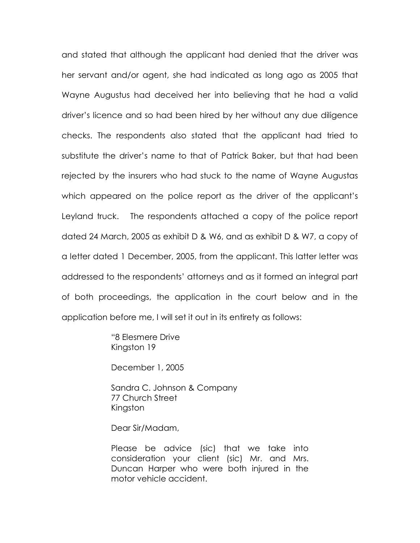and stated that although the applicant had denied that the driver was her servant and/or agent, she had indicated as long ago as 2005 that Wayne Augustus had deceived her into believing that he had a valid driver's licence and so had been hired by her without any due diligence checks. The respondents also stated that the applicant had tried to substitute the driver's name to that of Patrick Baker, but that had been rejected by the insurers who had stuck to the name of Wayne Augustas which appeared on the police report as the driver of the applicant's Leyland truck. The respondents attached a copy of the police report dated 24 March, 2005 as exhibit D & W6, and as exhibit D & W7, a copy of a letter dated 1 December, 2005, from the applicant. This latter letter was addressed to the respondents' attorneys and as it formed an integral part of both proceedings, the application in the court below and in the application before me, I will set it out in its entirety as follows:

> "8 Elesmere Drive Kingston 19

December 1, 2005

Sandra C. Johnson & Company 77 Church Street Kingston

Dear Sir/Madam,

Please be advice (sic) that we take into consideration your client (sic) Mr. and Mrs. Duncan Harper who were both injured in the motor vehicle accident.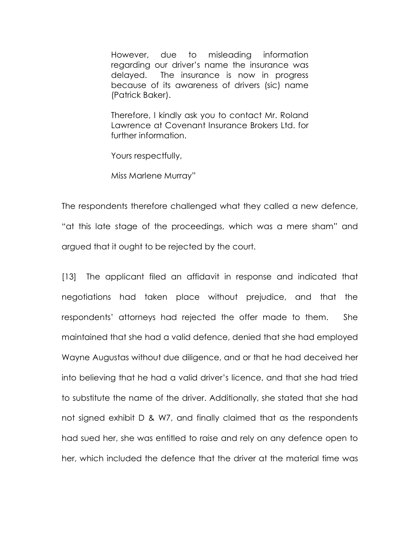However, due to misleading information regarding our driver's name the insurance was delayed. The insurance is now in progress because of its awareness of drivers (sic) name (Patrick Baker).

Therefore, I kindly ask you to contact Mr. Roland Lawrence at Covenant Insurance Brokers Ltd. for further information.

Yours respectfully,

Miss Marlene Murray"

The respondents therefore challenged what they called a new defence, "at this late stage of the proceedings, which was a mere sham" and argued that it ought to be rejected by the court.

[13] The applicant filed an affidavit in response and indicated that negotiations had taken place without prejudice, and that the respondents' attorneys had rejected the offer made to them. She maintained that she had a valid defence, denied that she had employed Wayne Augustas without due diligence, and or that he had deceived her into believing that he had a valid driver's licence, and that she had tried to substitute the name of the driver. Additionally, she stated that she had not signed exhibit D & W7, and finally claimed that as the respondents had sued her, she was entitled to raise and rely on any defence open to her, which included the defence that the driver at the material time was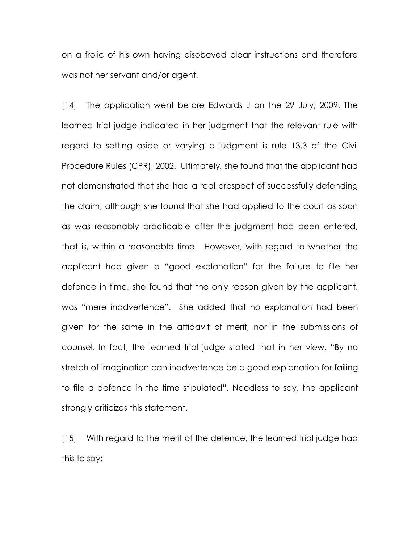on a frolic of his own having disobeyed clear instructions and therefore was not her servant and/or agent.

[14] The application went before Edwards J on the 29 July, 2009. The learned trial judge indicated in her judgment that the relevant rule with regard to setting aside or varying a judgment is rule 13.3 of the Civil Procedure Rules (CPR), 2002. Ultimately, she found that the applicant had not demonstrated that she had a real prospect of successfully defending the claim, although she found that she had applied to the court as soon as was reasonably practicable after the judgment had been entered, that is, within a reasonable time. However, with regard to whether the applicant had given a "good explanation" for the failure to file her defence in time, she found that the only reason given by the applicant, was "mere inadvertence". She added that no explanation had been given for the same in the affidavit of merit, nor in the submissions of counsel. In fact, the learned trial judge stated that in her view, "By no stretch of imagination can inadvertence be a good explanation for failing to file a defence in the time stipulated". Needless to say, the applicant strongly criticizes this statement.

[15] With regard to the merit of the defence, the learned trial judge had this to say: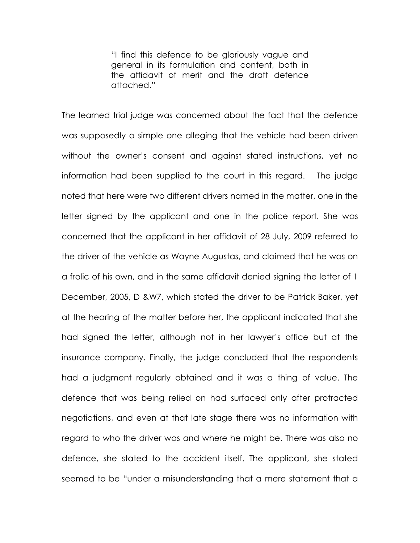"I find this defence to be gloriously vague and general in its formulation and content, both in the affidavit of merit and the draft defence attached."

The learned trial judge was concerned about the fact that the defence was supposedly a simple one alleging that the vehicle had been driven without the owner's consent and against stated instructions, yet no information had been supplied to the court in this regard. The judge noted that here were two different drivers named in the matter, one in the letter signed by the applicant and one in the police report. She was concerned that the applicant in her affidavit of 28 July, 2009 referred to the driver of the vehicle as Wayne Augustas, and claimed that he was on a frolic of his own, and in the same affidavit denied signing the letter of 1 December, 2005, D &W7, which stated the driver to be Patrick Baker, yet at the hearing of the matter before her, the applicant indicated that she had signed the letter, although not in her lawyer's office but at the insurance company. Finally, the judge concluded that the respondents had a judgment regularly obtained and it was a thing of value. The defence that was being relied on had surfaced only after protracted negotiations, and even at that late stage there was no information with regard to who the driver was and where he might be. There was also no defence, she stated to the accident itself. The applicant, she stated seemed to be "under a misunderstanding that a mere statement that a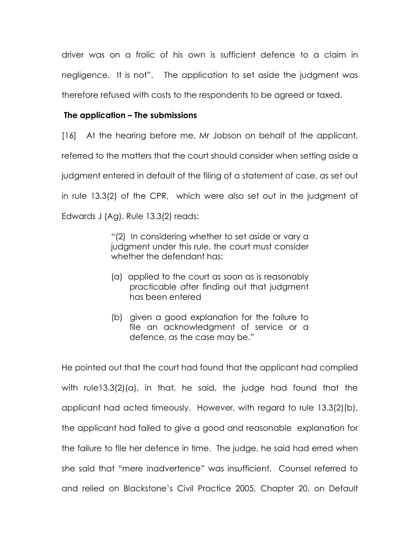driver was on a frolic of his own is sufficient defence to a claim in negligence. It is not". The application to set aside the judgment was therefore refused with costs to the respondents to be agreed or taxed.

# The application – The submissions

[16] At the hearing before me, Mr Jobson on behalf of the applicant, referred to the matters that the court should consider when setting aside a judgment entered in default of the filing of a statement of case, as set out in rule 13.3(2) of the CPR, which were also set out in the judgment of Edwards J (Ag). Rule 13.3(2) reads:

> "(2) In considering whether to set aside or vary a judgment under this rule, the court must consider whether the defendant has:

- (a) applied to the court as soon as is reasonably practicable after finding out that judgment has been entered
- (b) given a good explanation for the failure to file an acknowledgment of service or a defence, as the case may be."

He pointed out that the court had found that the applicant had complied with rule13.3(2)(a), in that, he said, the judge had found that the applicant had acted timeously. However, with regard to rule 13.3(2)(b), the applicant had failed to give a good and reasonable explanation for the failure to file her defence in time. The judge, he said had erred when she said that "mere inadvertence" was insufficient. Counsel referred to and relied on Blackstone's Civil Practice 2005, Chapter 20, on Default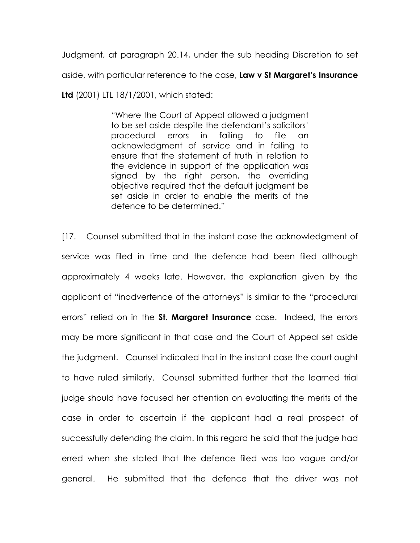Judgment, at paragraph 20.14, under the sub heading Discretion to set aside, with particular reference to the case, Law v St Margaret's Insurance

Ltd (2001) LTL 18/1/2001, which stated:

"Where the Court of Appeal allowed a judgment to be set aside despite the defendant's solicitors' procedural errors in failing to file an acknowledgment of service and in failing to ensure that the statement of truth in relation to the evidence in support of the application was signed by the right person, the overriding objective required that the default judgment be set aside in order to enable the merits of the defence to be determined."

[17. Counsel submitted that in the instant case the acknowledgment of service was filed in time and the defence had been filed although approximately 4 weeks late. However, the explanation given by the applicant of "inadvertence of the attorneys" is similar to the "procedural errors" relied on in the St. Margaret Insurance case. Indeed, the errors may be more significant in that case and the Court of Appeal set aside the judgment. Counsel indicated that in the instant case the court ought to have ruled similarly. Counsel submitted further that the learned trial judge should have focused her attention on evaluating the merits of the case in order to ascertain if the applicant had a real prospect of successfully defending the claim. In this regard he said that the judge had erred when she stated that the defence filed was too vague and/or general. He submitted that the defence that the driver was not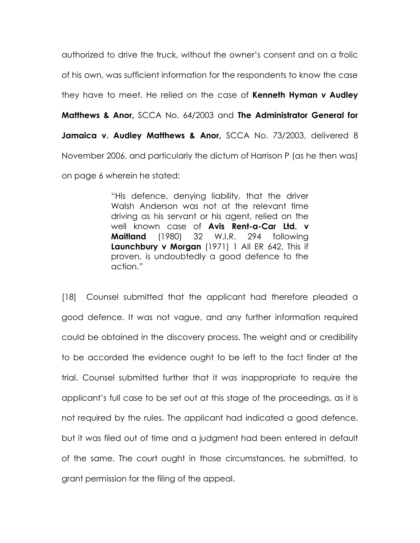authorized to drive the truck, without the owner's consent and on a frolic of his own, was sufficient information for the respondents to know the case they have to meet. He relied on the case of **Kenneth Hyman v Audley** Matthews & Anor, SCCA No. 64/2003 and The Administrator General for Jamaica v. Audley Matthews & Anor, SCCA No. 73/2003, delivered 8 November 2006, and particularly the dictum of Harrison P (as he then was) on page 6 wherein he stated:

> "His defence, denying liability, that the driver Walsh Anderson was not at the relevant time driving as his servant or his agent, relied on the well known case of Avis Rent-a-Car Ltd. v Maitland (1980) 32 W.I.R. 294 following Launchbury v Morgan (1971) 1 All ER 642. This if proven, is undoubtedly a good defence to the action."

[18] Counsel submitted that the applicant had therefore pleaded a good defence. It was not vague, and any further information required could be obtained in the discovery process. The weight and or credibility to be accorded the evidence ought to be left to the fact finder at the trial. Counsel submitted further that it was inappropriate to require the applicant's full case to be set out at this stage of the proceedings, as it is not required by the rules. The applicant had indicated a good defence, but it was filed out of time and a judgment had been entered in default of the same. The court ought in those circumstances, he submitted, to grant permission for the filing of the appeal.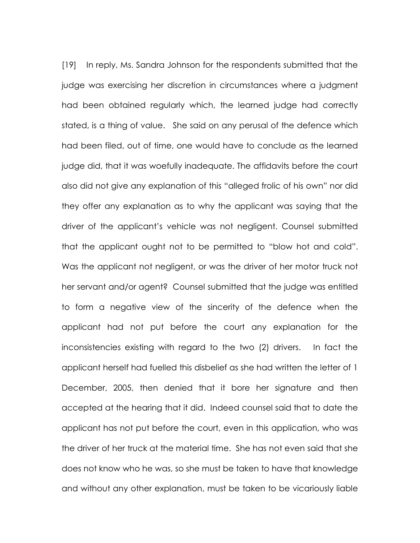[19] In reply, Ms. Sandra Johnson for the respondents submitted that the judge was exercising her discretion in circumstances where a judgment had been obtained regularly which, the learned judge had correctly stated, is a thing of value. She said on any perusal of the defence which had been filed, out of time, one would have to conclude as the learned judge did, that it was woefully inadequate. The affidavits before the court also did not give any explanation of this "alleged frolic of his own" nor did they offer any explanation as to why the applicant was saying that the driver of the applicant's vehicle was not negligent. Counsel submitted that the applicant ought not to be permitted to "blow hot and cold". Was the applicant not negligent, or was the driver of her motor truck not her servant and/or agent? Counsel submitted that the judge was entitled to form a negative view of the sincerity of the defence when the applicant had not put before the court any explanation for the inconsistencies existing with regard to the two (2) drivers. In fact the applicant herself had fuelled this disbelief as she had written the letter of 1 December, 2005, then denied that it bore her signature and then accepted at the hearing that it did. Indeed counsel said that to date the applicant has not put before the court, even in this application, who was the driver of her truck at the material time. She has not even said that she does not know who he was, so she must be taken to have that knowledge and without any other explanation, must be taken to be vicariously liable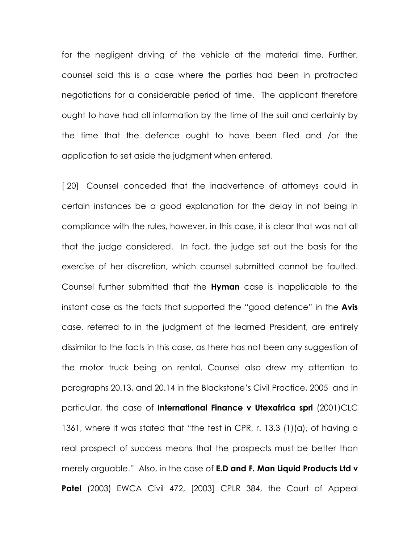for the negligent driving of the vehicle at the material time. Further, counsel said this is a case where the parties had been in protracted negotiations for a considerable period of time. The applicant therefore ought to have had all information by the time of the suit and certainly by the time that the defence ought to have been filed and /or the application to set aside the judgment when entered.

[20] Counsel conceded that the inadvertence of attorneys could in certain instances be a good explanation for the delay in not being in compliance with the rules, however, in this case, it is clear that was not all that the judge considered. In fact, the judge set out the basis for the exercise of her discretion, which counsel submitted cannot be faulted. Counsel further submitted that the **Hyman** case is inapplicable to the instant case as the facts that supported the "good defence" in the Avis case, referred to in the judgment of the learned President, are entirely dissimilar to the facts in this case, as there has not been any suggestion of the motor truck being on rental. Counsel also drew my attention to paragraphs 20.13, and 20.14 in the Blackstone's Civil Practice, 2005 and in particular, the case of International Finance v Utexafrica sprl (2001)CLC 1361, where it was stated that "the test in CPR, r. 13.3 (1)(a), of having a real prospect of success means that the prospects must be better than merely arguable." Also, in the case of **E.D and F. Man Liquid Products Ltd v** Patel (2003) EWCA Civil 472, [2003] CPLR 384, the Court of Appeal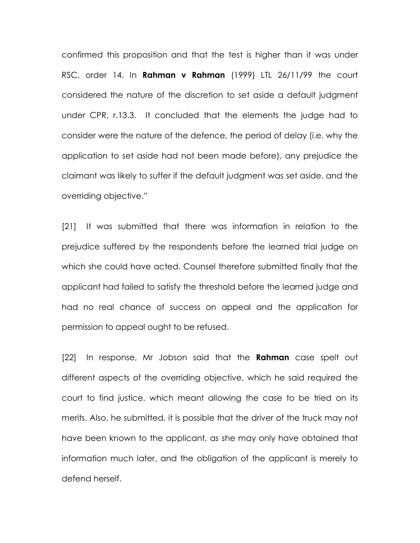confirmed this proposition and that the test is higher than it was under RSC, order 14. In **Rahman v Rahman** (1999) LTL  $26/11/99$  the court considered the nature of the discretion to set aside a default judgment under CPR, r.13.3. It concluded that the elements the judge had to consider were the nature of the defence, the period of delay (i.e. why the application to set aside had not been made before), any prejudice the claimant was likely to suffer if the default judgment was set aside, and the overriding objective."

[21] It was submitted that there was information in relation to the prejudice suffered by the respondents before the learned trial judge on which she could have acted. Counsel therefore submitted finally that the applicant had failed to satisfy the threshold before the learned judge and had no real chance of success on appeal and the application for permission to appeal ought to be refused.

[22] In response, Mr Jobson said that the **Rahman** case spelt out different aspects of the overriding objective, which he said required the court to find justice, which meant allowing the case to be tried on its merits. Also, he submitted, it is possible that the driver of the truck may not have been known to the applicant, as she may only have obtained that information much later, and the obligation of the applicant is merely to defend herself.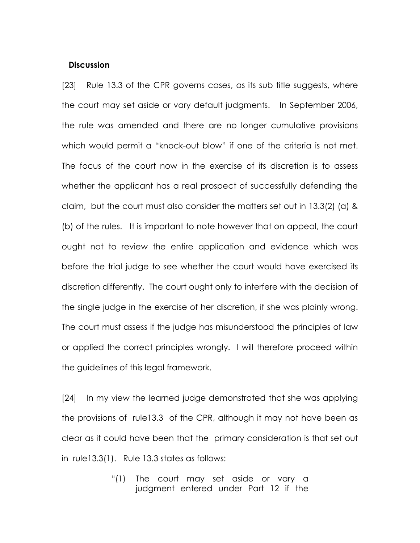#### **Discussion**

[23] Rule 13.3 of the CPR governs cases, as its sub title suggests, where the court may set aside or vary default judgments. In September 2006, the rule was amended and there are no longer cumulative provisions which would permit a "knock-out blow" if one of the criteria is not met. The focus of the court now in the exercise of its discretion is to assess whether the applicant has a real prospect of successfully defending the claim, but the court must also consider the matters set out in 13.3(2) (a) & (b) of the rules. It is important to note however that on appeal, the court ought not to review the entire application and evidence which was before the trial judge to see whether the court would have exercised its discretion differently. The court ought only to interfere with the decision of the single judge in the exercise of her discretion, if she was plainly wrong. The court must assess if the judge has misunderstood the principles of law or applied the correct principles wrongly. I will therefore proceed within the guidelines of this legal framework.

[24] In my view the learned judge demonstrated that she was applying the provisions of rule13.3 of the CPR, although it may not have been as clear as it could have been that the primary consideration is that set out in rule13.3(1). Rule 13.3 states as follows:

> "(1) The court may set aside or vary a judgment entered under Part 12 if the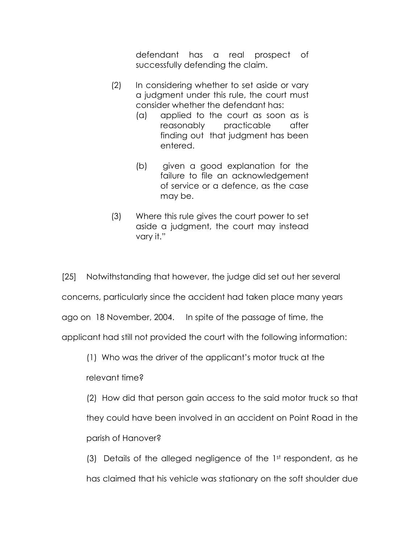defendant has a real prospect of successfully defending the claim.

- (2) In considering whether to set aside or vary a judgment under this rule, the court must consider whether the defendant has:
	- (a) applied to the court as soon as is reasonably practicable after finding out that judgment has been entered.
	- (b) given a good explanation for the failure to file an acknowledgement of service or a defence, as the case may be.
- (3) Where this rule gives the court power to set aside a judgment, the court may instead vary it."

[25] Notwithstanding that however, the judge did set out her several concerns, particularly since the accident had taken place many years ago on 18 November, 2004. In spite of the passage of time, the applicant had still not provided the court with the following information:

(1) Who was the driver of the applicant's motor truck at the

relevant time?

 (2) How did that person gain access to the said motor truck so that they could have been involved in an accident on Point Road in the parish of Hanover?

 (3) Details of the alleged negligence of the 1st respondent, as he has claimed that his vehicle was stationary on the soft shoulder due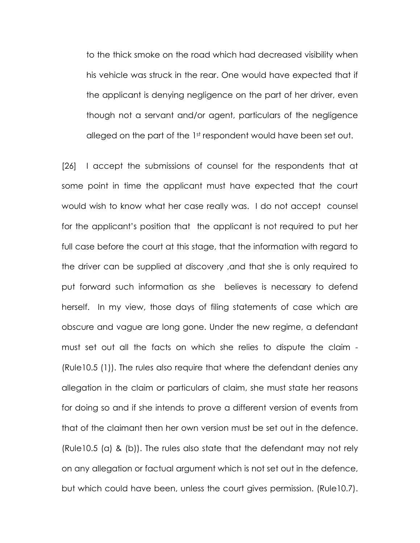to the thick smoke on the road which had decreased visibility when his vehicle was struck in the rear. One would have expected that if the applicant is denying negligence on the part of her driver, even though not a servant and/or agent, particulars of the negligence alleged on the part of the 1st respondent would have been set out.

[26] I accept the submissions of counsel for the respondents that at some point in time the applicant must have expected that the court would wish to know what her case really was. I do not accept counsel for the applicant's position that the applicant is not required to put her full case before the court at this stage, that the information with regard to the driver can be supplied at discovery ,and that she is only required to put forward such information as she believes is necessary to defend herself. In my view, those days of filing statements of case which are obscure and vague are long gone. Under the new regime, a defendant must set out all the facts on which she relies to dispute the claim - (Rule10.5 (1)). The rules also require that where the defendant denies any allegation in the claim or particulars of claim, she must state her reasons for doing so and if she intends to prove a different version of events from that of the claimant then her own version must be set out in the defence. (Rule10.5 (a) & (b)). The rules also state that the defendant may not rely on any allegation or factual argument which is not set out in the defence, but which could have been, unless the court gives permission. (Rule10.7).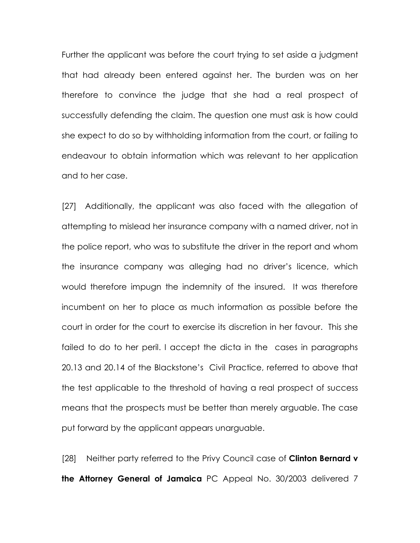Further the applicant was before the court trying to set aside a judgment that had already been entered against her. The burden was on her therefore to convince the judge that she had a real prospect of successfully defending the claim. The question one must ask is how could she expect to do so by withholding information from the court, or failing to endeavour to obtain information which was relevant to her application and to her case.

[27] Additionally, the applicant was also faced with the allegation of attempting to mislead her insurance company with a named driver, not in the police report, who was to substitute the driver in the report and whom the insurance company was alleging had no driver's licence, which would therefore impugn the indemnity of the insured. It was therefore incumbent on her to place as much information as possible before the court in order for the court to exercise its discretion in her favour. This she failed to do to her peril. I accept the dicta in the cases in paragraphs 20.13 and 20.14 of the Blackstone's Civil Practice, referred to above that the test applicable to the threshold of having a real prospect of success means that the prospects must be better than merely arguable. The case put forward by the applicant appears unarguable.

[28] Neither party referred to the Privy Council case of **Clinton Bernard v** the Attorney General of Jamaica PC Appeal No. 30/2003 delivered 7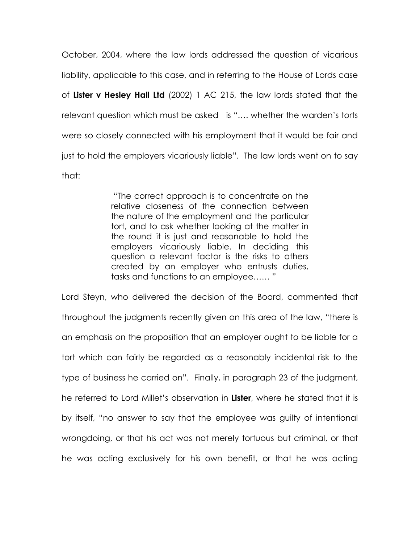October, 2004, where the law lords addressed the question of vicarious liability, applicable to this case, and in referring to the House of Lords case of Lister v Hesley Hall Ltd (2002) 1 AC 215, the law lords stated that the relevant question which must be asked is "…. whether the warden's torts were so closely connected with his employment that it would be fair and just to hold the employers vicariously liable". The law lords went on to say that:

> "The correct approach is to concentrate on the relative closeness of the connection between the nature of the employment and the particular tort, and to ask whether looking at the matter in the round it is just and reasonable to hold the employers vicariously liable. In deciding this question a relevant factor is the risks to others created by an employer who entrusts duties, tasks and functions to an employee…… "

Lord Steyn, who delivered the decision of the Board, commented that throughout the judgments recently given on this area of the law, "there is an emphasis on the proposition that an employer ought to be liable for a tort which can fairly be regarded as a reasonably incidental risk to the type of business he carried on". Finally, in paragraph 23 of the judgment, he referred to Lord Millet's observation in Lister, where he stated that it is by itself, "no answer to say that the employee was guilty of intentional wrongdoing, or that his act was not merely tortuous but criminal, or that he was acting exclusively for his own benefit, or that he was acting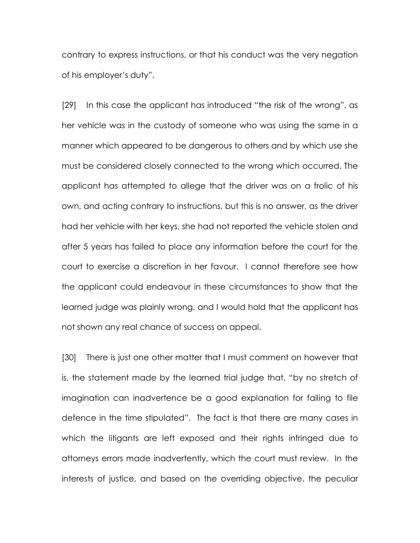contrary to express instructions, or that his conduct was the very negation of his employer's duty".

[29] In this case the applicant has introduced "the risk of the wrong", as her vehicle was in the custody of someone who was using the same in a manner which appeared to be dangerous to others and by which use she must be considered closely connected to the wrong which occurred. The applicant has attempted to allege that the driver was on a frolic of his own, and acting contrary to instructions, but this is no answer, as the driver had her vehicle with her keys, she had not reported the vehicle stolen and after 5 years has failed to place any information before the court for the court to exercise a discretion in her favour. I cannot therefore see how the applicant could endeavour in these circumstances to show that the learned judge was plainly wrong, and I would hold that the applicant has not shown any real chance of success on appeal.

[30] There is just one other matter that I must comment on however that is, the statement made by the learned trial judge that, "by no stretch of imagination can inadvertence be a good explanation for failing to file defence in the time stipulated". The fact is that there are many cases in which the litigants are left exposed and their rights infringed due to attorneys errors made inadvertently, which the court must review. In the interests of justice, and based on the overriding objective, the peculiar